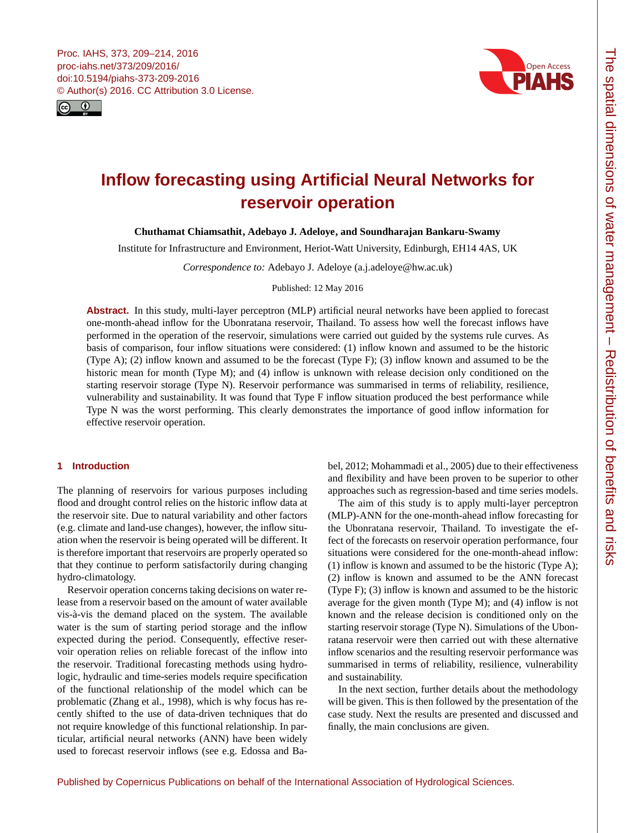<span id="page-0-0"></span>



The spatial dimensions of water management – Redistribution of benefits and risks

The spatial dimensions of water management - Redistribution of benefits and risks

# **Inflow forecasting using Artificial Neural Networks for reservoir operation**

**Chuthamat Chiamsathit, Adebayo J. Adeloye, and Soundharajan Bankaru-Swamy**

Institute for Infrastructure and Environment, Heriot-Watt University, Edinburgh, EH14 4AS, UK

*Correspondence to:* Adebayo J. Adeloye (a.j.adeloye@hw.ac.uk)

Published: 12 May 2016

**Abstract.** In this study, multi-layer perceptron (MLP) artificial neural networks have been applied to forecast one-month-ahead inflow for the Ubonratana reservoir, Thailand. To assess how well the forecast inflows have performed in the operation of the reservoir, simulations were carried out guided by the systems rule curves. As basis of comparison, four inflow situations were considered: (1) inflow known and assumed to be the historic (Type A); (2) inflow known and assumed to be the forecast (Type F); (3) inflow known and assumed to be the historic mean for month (Type M); and (4) inflow is unknown with release decision only conditioned on the starting reservoir storage (Type N). Reservoir performance was summarised in terms of reliability, resilience, vulnerability and sustainability. It was found that Type F inflow situation produced the best performance while Type N was the worst performing. This clearly demonstrates the importance of good inflow information for effective reservoir operation.

# **1 Introduction**

The planning of reservoirs for various purposes including flood and drought control relies on the historic inflow data at the reservoir site. Due to natural variability and other factors (e.g. climate and land-use changes), however, the inflow situation when the reservoir is being operated will be different. It is therefore important that reservoirs are properly operated so that they continue to perform satisfactorily during changing hydro-climatology.

Reservoir operation concerns taking decisions on water release from a reservoir based on the amount of water available vis-à-vis the demand placed on the system. The available water is the sum of starting period storage and the inflow expected during the period. Consequently, effective reservoir operation relies on reliable forecast of the inflow into the reservoir. Traditional forecasting methods using hydrologic, hydraulic and time-series models require specification of the functional relationship of the model which can be problematic (Zhang et al., 1998), which is why focus has recently shifted to the use of data-driven techniques that do not require knowledge of this functional relationship. In particular, artificial neural networks (ANN) have been widely used to forecast reservoir inflows (see e.g. Edossa and Babel, 2012; Mohammadi et al., 2005) due to their effectiveness and flexibility and have been proven to be superior to other approaches such as regression-based and time series models.

The aim of this study is to apply multi-layer perceptron (MLP)-ANN for the one-month-ahead inflow forecasting for the Ubonratana reservoir, Thailand. To investigate the effect of the forecasts on reservoir operation performance, four situations were considered for the one-month-ahead inflow: (1) inflow is known and assumed to be the historic (Type A); (2) inflow is known and assumed to be the ANN forecast (Type F); (3) inflow is known and assumed to be the historic average for the given month (Type M); and (4) inflow is not known and the release decision is conditioned only on the starting reservoir storage (Type N). Simulations of the Ubonratana reservoir were then carried out with these alternative inflow scenarios and the resulting reservoir performance was summarised in terms of reliability, resilience, vulnerability and sustainability.

In the next section, further details about the methodology will be given. This is then followed by the presentation of the case study. Next the results are presented and discussed and finally, the main conclusions are given.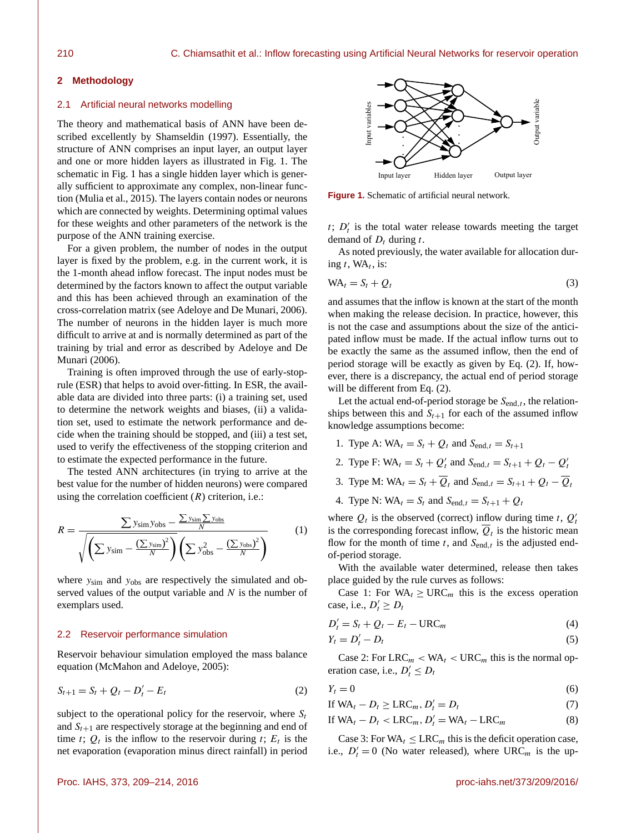#### **2 Methodology**

### 2.1 Artificial neural networks modelling

The theory and mathematical basis of ANN have been described excellently by Shamseldin (1997). Essentially, the structure of ANN comprises an input layer, an output layer and one or more hidden layers as illustrated in Fig. 1. The schematic in Fig. 1 has a single hidden layer which is generally sufficient to approximate any complex, non-linear function (Mulia et al., 2015). The layers contain nodes or neurons which are connected by weights. Determining optimal values for these weights and other parameters of the network is the purpose of the ANN training exercise. 21. Antikaris meanta minus direct rain of the state of the state of the state of the state of the state of the state of the state of the state of the state of the state of the state of the state of the state of the state

For a given problem, the number of nodes in the output layer is fixed by the problem, e.g. in the current work, it is the 1-month ahead inflow forecast. The input nodes must be determined by the factors known to affect the output variable and this has been achieved through an examination of the cross-correlation matrix (see Adeloye and De Munari, 2006). The number of neurons in the hidden layer is much more difficult to arrive at and is normally determined as part of the training by trial and error as described by Adeloye and De Munari (2006).

Training is often improved through the use of early-stoprule (ESR) that helps to avoid over-fitting. In ESR, the available data are divided into three parts: (i) a training set, used to determine the network weights and biases, (ii) a validation set, used to estimate the network performance and decide when the training should be stopped, and (iii) a test set, used to verify the effectiveness of the stopping criterion and to estimate the expected performance in the future.

The tested ANN architectures (in trying to arrive at the best value for the number of hidden neurons) were compared using the correlation coefficient  $(R)$  criterion, i.e.:

$$
R = \frac{\sum y_{\text{sim}} y_{\text{obs}} - \frac{\sum y_{\text{sim}} \sum y_{\text{obs}}}{N}}{\sqrt{\left(\sum y_{\text{sim}} - \frac{\left(\sum y_{\text{sim}}\right)^2}{N}\right)\left(\sum y_{\text{obs}}^2 - \frac{\left(\sum y_{\text{obs}}\right)^2}{N}\right)}}
$$
(1)

where  $y_{sim}$  and  $y_{obs}$  are respectively the simulated and observed values of the output variable and  $N$  is the number of exemplars used.

#### 2.2 Reservoir performance simulation

Reservoir behaviour simulation employed the mass balance equation (McMahon and Adeloye, 2005):

$$
S_{t+1} = S_t + Q_t - D'_t - E_t \tag{2}
$$

subject to the operational policy for the reservoir, where  $S_t$ and  $S_{t+1}$  are respectively storage at the beginning and end of time t;  $Q_t$  is the inflow to the reservoir during t;  $E_t$  is the



**Figure 1.** Schematic of artificial neural network.

 $t$ ;  $D'_t$  is the total water release towards meeting the target demand of  $D_t$  during t.

As noted previously, the water available for allocation during  $t$ , WA $_t$ , is:

$$
WA_t = S_t + Q_t \tag{3}
$$

and assumes that the inflow is known at the start of the month when making the release decision. In practice, however, this is not the case and assumptions about the size of the anticipated inflow must be made. If the actual inflow turns out to be exactly the same as the assumed inflow, then the end of period storage will be exactly as given by Eq. (2). If, however, there is a discrepancy, the actual end of period storage will be different from Eq.  $(2)$ .

Let the actual end-of-period storage be  $S_{end,t}$ , the relationships between this and  $S_{t+1}$  for each of the assumed inflow knowledge assumptions become:

- 1. Type A:  $WA_t = S_t + Q_t$  and  $S_{end,t} = S_{t+1}$
- 2. Type F:  $WA_t = S_t + Q'_t$  and  $S_{end,t} = S_{t+1} + Q_t Q'_t$
- 3. Type M: WA<sub>t</sub> =  $S_t + \overline{O}_t$  and  $S_{end, t} = S_{t+1} + O_t \overline{O}_t$
- 4. Type N:  $WA_t = S_t$  and  $S_{end,t} = S_{t+1} + Q_t$

where  $Q_t$  is the observed (correct) inflow during time t,  $Q_t$ is the corresponding forecast inflow,  $Q_t$  is the historic mean flow for the month of time t, and  $S_{end,t}$  is the adjusted endof-period storage.

With the available water determined, release then takes place guided by the rule curves as follows:

Case 1: For  $WA_t \geq URC_m$  this is the excess operation case, i.e.,  $D'_t \geq D_t$ 

$$
D'_t = S_t + Q_t - E_t - \text{URC}_m \tag{4}
$$

$$
Y_t = D'_t - D_t \tag{5}
$$

Case 2: For  $LRC_m < WA_t < URC_m$  this is the normal operation case, i.e.,  $D'_t \leq D_t$ 

$$
Y_t = 0 \tag{6}
$$

If 
$$
WA_t - D_t \geq \text{LRC}_m
$$
,  $D'_t = D_t$  (7)

$$
\text{If } \text{WA}_t - D_t < \text{LRC}_m, D'_t = \text{WA}_t - \text{LRC}_m \tag{8}
$$

Case 3: For  $WA_t \leq LRC_m$  this is the deficit operation case, i.e.,  $D'_t = 0$  (No water released), where URC<sub>m</sub> is the up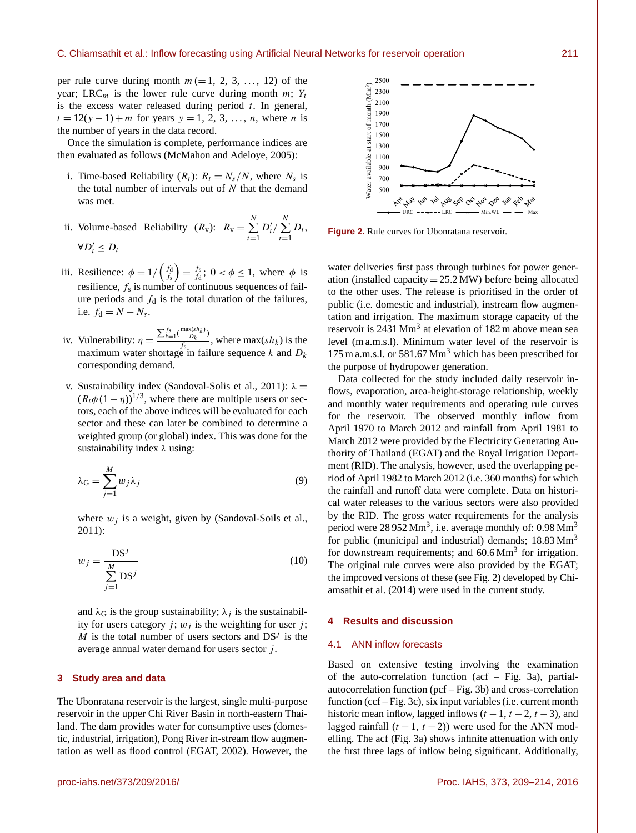per rule curve during month  $m (= 1, 2, 3, \ldots, 12)$  of the year; LRC<sub>m</sub> is the lower rule curve during month m;  $Y_t$ is the excess water released during period  $t$ . In general,  $t = 12(y - 1) + m$  for years  $y = 1, 2, 3, ..., n$ , where *n* is the number of years in the data record.

Once the simulation is complete, performance indices are then evaluated as follows (McMahon and Adeloye, 2005):

- i. Time-based Reliability  $(R_t)$ :  $R_t = N_s/N$ , where  $N_s$  is the total number of intervals out of  $N$  that the demand was met.
- ii. Volume-based Reliability  $(R_v)$ :  $R_v = \sum_{i=1}^{N}$  $t=1$  $D'_t / \sum_{i=1}^N$  $\sum_{t=1}^{\infty} D_t,$  $\forall D'_t \leq D_t$
- iii. Resilience:  $\phi = 1/\left(\frac{f_d}{f_c}\right)$  $\frac{f_{\rm d}}{f_{\rm s}}$   $\left)=\frac{f_{\rm s}}{f_{\rm d}}$  $\frac{f_s}{f_d}$ ;  $0 < \phi \le 1$ , where  $\phi$  is resilience,  $f_s$  is number of continuous sequences of failure periods and  $f_d$  is the total duration of the failures, i.e.  $f_d = N - N_s$ .
- iv. Vulnerability:  $\eta = \frac{\sum_{k=1}^{f_s}(\frac{\max(sh_k)}{D_k})}{f_s}$  $\frac{D_k}{f_s}$ , where max(sh<sub>k</sub>) is the maximum water shortage in failure sequence  $k$  and  $D_k$ corresponding demand.
- v. Sustainability index (Sandoval-Solis et al., 2011):  $λ =$  $(R_t\phi(1-\eta))^{1/3}$ , where there are multiple users or sectors, each of the above indices will be evaluated for each sector and these can later be combined to determine a weighted group (or global) index. This was done for the sustainability index λ using:

$$
\lambda_{\rm G} = \sum_{j=1}^{M} w_j \lambda_j \tag{9}
$$

where  $w_i$  is a weight, given by (Sandoval-Soils et al., 2011):

$$
w_j = \frac{\text{DS}^j}{\sum_{j=1}^M \text{DS}^j}
$$
 (10)

and  $\lambda$ <sub>G</sub> is the group sustainability;  $\lambda$ <sub>i</sub> is the sustainability for users category j;  $w_j$  is the weighting for user j; M is the total number of users sectors and  $DS<sup>j</sup>$  is the average annual water demand for users sector  $j$ .

# **3 Study area and data**

The Ubonratana reservoir is the largest, single multi-purpose reservoir in the upper Chi River Basin in north-eastern Thailand. The dam provides water for consumptive uses (domestic, industrial, irrigation), Pong River in-stream flow augmentation as well as flood control (EGAT, 2002). However, the



**Figure 2.** Rule curves for Ubonratana reservoir.

water deliveries first pass through turbines for power generation (installed capacity  $= 25.2$  MW) before being allocated to the other uses. The release is prioritised in the order of public (i.e. domestic and industrial), instream flow augmentation and irrigation. The maximum storage capacity of the reservoir is  $2431 \text{ Mm}^3$  at elevation of  $182 \text{ m}$  above mean sea level (m a.m.s.l). Minimum water level of the reservoir is 175 m a.m.s.l. or 581.67 Mm<sup>3</sup> which has been prescribed for the purpose of hydropower generation.

Data collected for the study included daily reservoir inflows, evaporation, area-height-storage relationship, weekly and monthly water requirements and operating rule curves for the reservoir. The observed monthly inflow from April 1970 to March 2012 and rainfall from April 1981 to March 2012 were provided by the Electricity Generating Authority of Thailand (EGAT) and the Royal Irrigation Department (RID). The analysis, however, used the overlapping period of April 1982 to March 2012 (i.e. 360 months) for which the rainfall and runoff data were complete. Data on historical water releases to the various sectors were also provided by the RID. The gross water requirements for the analysis period were  $28952 \text{ Mm}^3$ , i.e. average monthly of: 0.98  $\text{Mm}^3$ for public (municipal and industrial) demands; 18.83 Mm<sup>3</sup> for downstream requirements; and  $60.6 \text{ Mm}^3$  for irrigation. The original rule curves were also provided by the EGAT; the improved versions of these (see Fig. 2) developed by Chiamsathit et al. (2014) were used in the current study.

#### **4 Results and discussion**

#### 4.1 ANN inflow forecasts

Based on extensive testing involving the examination of the auto-correlation function (acf – Fig. 3a), partialautocorrelation function (pcf – Fig. 3b) and cross-correlation function (ccf – Fig. 3c), six input variables (i.e. current month historic mean inflow, lagged inflows  $(t - 1, t - 2, t - 3)$ , and lagged rainfall  $(t - 1, t - 2)$ ) were used for the ANN modelling. The acf (Fig. 3a) shows infinite attenuation with only the first three lags of inflow being significant. Additionally,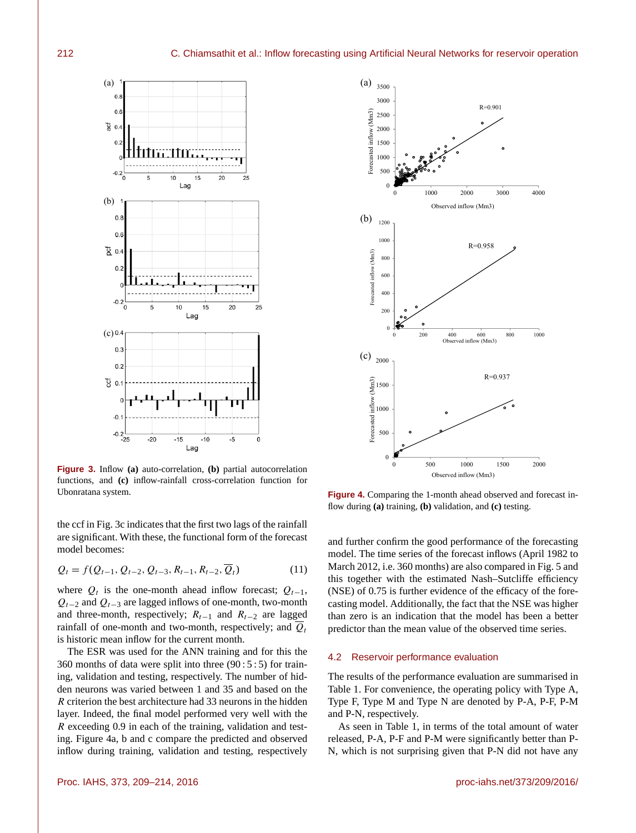

**Figure 3.** Inflow **(a)** auto-correlation, **(b)** partial autocorrelation functions, and **(c)** inflow-rainfall cross-correlation function for Ubonratana system.

the ccf in Fig. 3c indicates that the first two lags of the rainfall are significant. With these, the functional form of the forecast model becomes:

$$
Q_t = f(Q_{t-1}, Q_{t-2}, Q_{t-3}, R_{t-1}, R_{t-2}, \overline{Q}_t)
$$
\n(11)

where  $Q_t$  is the one-month ahead inflow forecast;  $Q_{t-1}$ ,  $Q_{t-2}$  and  $Q_{t-3}$  are lagged inflows of one-month, two-month and three-month, respectively;  $R_{t-1}$  and  $R_{t-2}$  are lagged rainfall of one-month and two-month, respectively; and  $\overline{Q}_t$ is historic mean inflow for the current month.

The ESR was used for the ANN training and for this the 360 months of data were split into three (90 : 5 : 5) for training, validation and testing, respectively. The number of hidden neurons was varied between 1 and 35 and based on the R criterion the best architecture had 33 neurons in the hidden layer. Indeed, the final model performed very well with the R exceeding 0.9 in each of the training, validation and testing. Figure 4a, b and c compare the predicted and observed inflow during training, validation and testing, respectively



**Figure 4.** Comparing the 1-month ahead observed and forecast inflow during **(a)** training, **(b)** validation, and **(c)** testing.

and further confirm the good performance of the forecasting model. The time series of the forecast inflows (April 1982 to March 2012, i.e. 360 months) are also compared in Fig. 5 and this together with the estimated Nash–Sutcliffe efficiency (NSE) of 0.75 is further evidence of the efficacy of the forecasting model. Additionally, the fact that the NSE was higher than zero is an indication that the model has been a better predictor than the mean value of the observed time series.

#### 4.2 Reservoir performance evaluation

The results of the performance evaluation are summarised in Table 1. For convenience, the operating policy with Type A, Type F, Type M and Type N are denoted by P-A, P-F, P-M and P-N, respectively.

As seen in Table 1, in terms of the total amount of water released, P-A, P-F and P-M were significantly better than P-N, which is not surprising given that P-N did not have any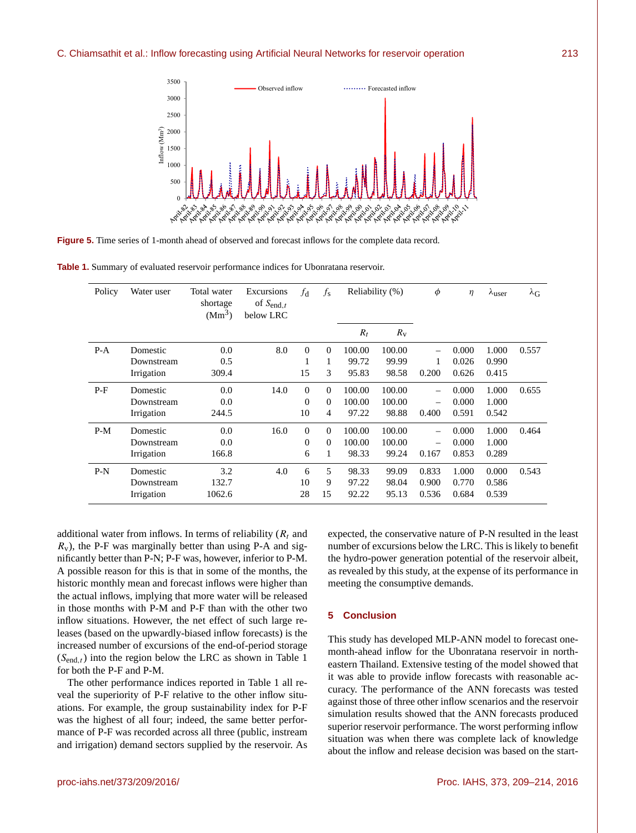#### C. Chiamsathit et al.: Inflow forecasting using Artificial Neural Networks for reservoir operation 213



**Figure 5.** Time series of 1-month ahead of observed and forecast inflows for the complete data record.

**Table 1.** Summary of evaluated reservoir performance indices for Ubonratana reservoir.

| Policy | Water user | Total water<br>shortage<br>(Mm <sup>3</sup> ) | Excursions<br>of $S_{end,t}$<br>below LRC | $f_{\rm d}$ | $f_{\rm s}$ | Reliability (%) |             | φ                        | $\eta$ | $\lambda$ user | $\lambda_{\rm G}$ |
|--------|------------|-----------------------------------------------|-------------------------------------------|-------------|-------------|-----------------|-------------|--------------------------|--------|----------------|-------------------|
|        |            |                                               |                                           |             |             | $R_t$           | $R_{\rm V}$ |                          |        |                |                   |
| $P-A$  | Domestic   | 0.0                                           | 8.0                                       | $\Omega$    | $\Omega$    | 100.00          | 100.00      |                          | 0.000  | 1.000          | 0.557             |
|        | Downstream | 0.5                                           |                                           |             | 1           | 99.72           | 99.99       |                          | 0.026  | 0.990          |                   |
|        | Irrigation | 309.4                                         |                                           | 15          | 3           | 95.83           | 98.58       | 0.200                    | 0.626  | 0.415          |                   |
| $P-F$  | Domestic   | 0.0                                           | 14.0                                      | $\Omega$    | $\Omega$    | 100.00          | 100.00      |                          | 0.000  | 1.000          | 0.655             |
|        | Downstream | 0.0                                           |                                           | $\Omega$    | $\Omega$    | 100.00          | 100.00      |                          | 0.000  | 1.000          |                   |
|        | Irrigation | 244.5                                         |                                           | 10          | 4           | 97.22           | 98.88       | 0.400                    | 0.591  | 0.542          |                   |
| $P-M$  | Domestic   | 0.0                                           | 16.0                                      | $\Omega$    | $\Omega$    | 100.00          | 100.00      |                          | 0.000  | 1.000          | 0.464             |
|        | Downstream | 0.0                                           |                                           | $\Omega$    | $\Omega$    | 100.00          | 100.00      | $\overline{\phantom{0}}$ | 0.000  | 1.000          |                   |
|        | Irrigation | 166.8                                         |                                           | 6           | 1           | 98.33           | 99.24       | 0.167                    | 0.853  | 0.289          |                   |
| $P-N$  | Domestic   | 3.2                                           | 4.0                                       | 6           | 5           | 98.33           | 99.09       | 0.833                    | 1.000  | 0.000          | 0.543             |
|        | Downstream | 132.7                                         |                                           | 10          | 9           | 97.22           | 98.04       | 0.900                    | 0.770  | 0.586          |                   |
|        | Irrigation | 1062.6                                        |                                           | 28          | 15          | 92.22           | 95.13       | 0.536                    | 0.684  | 0.539          |                   |

additional water from inflows. In terms of reliability ( $R_t$  and  $R_v$ ), the P-F was marginally better than using P-A and significantly better than P-N; P-F was, however, inferior to P-M. A possible reason for this is that in some of the months, the historic monthly mean and forecast inflows were higher than the actual inflows, implying that more water will be released in those months with P-M and P-F than with the other two inflow situations. However, the net effect of such large releases (based on the upwardly-biased inflow forecasts) is the increased number of excursions of the end-of-period storage  $(S_{end,t})$  into the region below the LRC as shown in Table 1 for both the P-F and P-M.

The other performance indices reported in Table 1 all reveal the superiority of P-F relative to the other inflow situations. For example, the group sustainability index for P-F was the highest of all four; indeed, the same better performance of P-F was recorded across all three (public, instream and irrigation) demand sectors supplied by the reservoir. As expected, the conservative nature of P-N resulted in the least number of excursions below the LRC. This is likely to benefit the hydro-power generation potential of the reservoir albeit, as revealed by this study, at the expense of its performance in meeting the consumptive demands.

# **5 Conclusion**

This study has developed MLP-ANN model to forecast onemonth-ahead inflow for the Ubonratana reservoir in northeastern Thailand. Extensive testing of the model showed that it was able to provide inflow forecasts with reasonable accuracy. The performance of the ANN forecasts was tested against those of three other inflow scenarios and the reservoir simulation results showed that the ANN forecasts produced superior reservoir performance. The worst performing inflow situation was when there was complete lack of knowledge about the inflow and release decision was based on the start